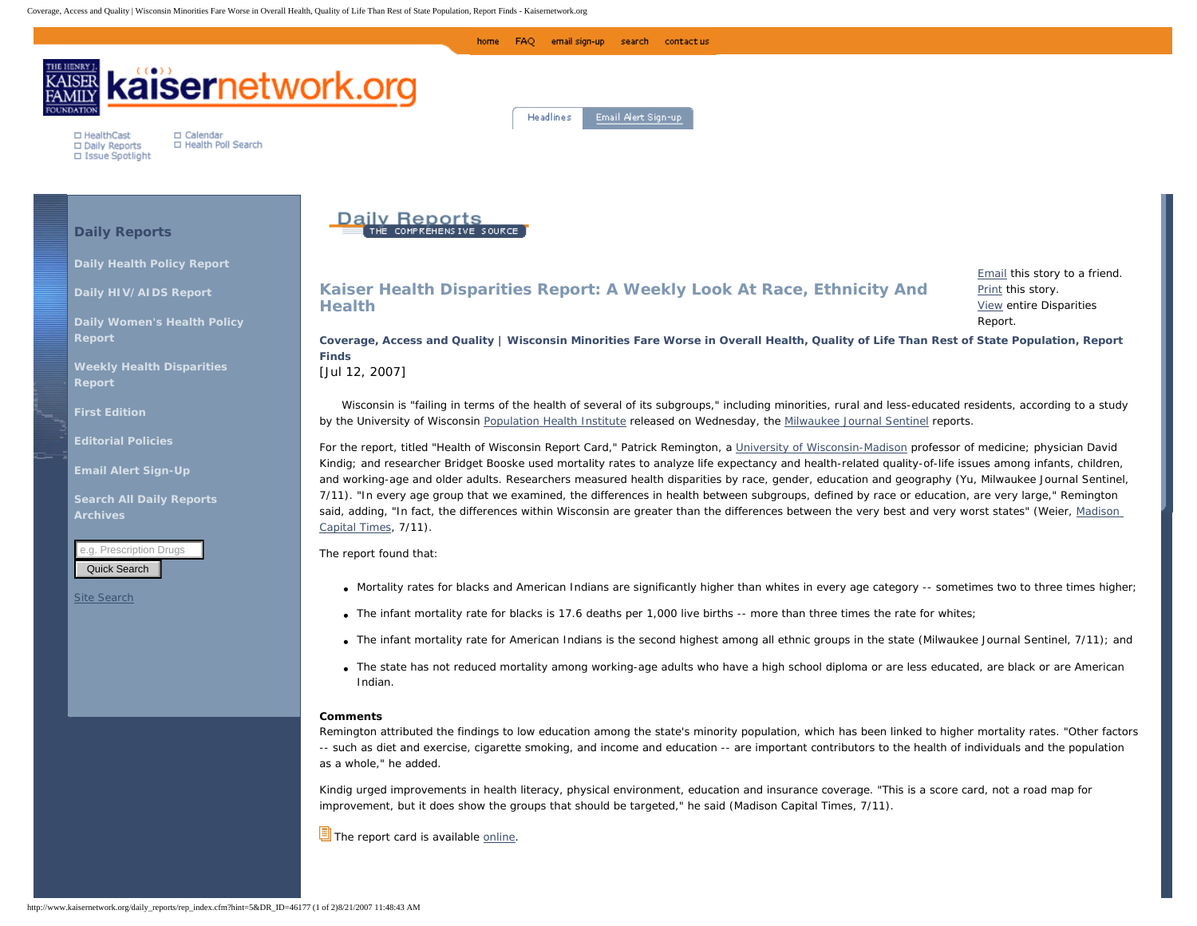

Kindig urged improvements in health literacy, physical environment, education and insurance coverage. "This is a score card, not a road map for improvement, but it does show the groups that should be targeted," he said (Madison *Capital Times*, 7/11).

 $\sqrt{2}$  The report card is available [online.](http://www.pophealth.wisc.edu/UWPHI/research/report_card_2007/report_card_2007.htm)

as a whole," he added.